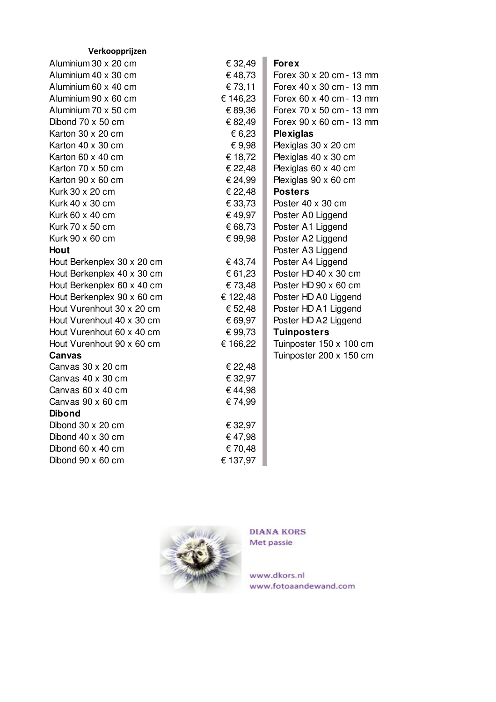| Verkoopprijzen             |          |                          |
|----------------------------|----------|--------------------------|
| Aluminium 30 x 20 cm       | € 32,49  | <b>Forex</b>             |
| Aluminium 40 x 30 cm       | €48,73   | Forex 30 x 20 cm - 13 mm |
| Aluminium 60 x 40 cm       | € 73,11  | Forex 40 x 30 cm - 13 mm |
| Aluminium 90 x 60 cm       | € 146,23 | Forex 60 x 40 cm - 13 mm |
| Aluminium 70 x 50 cm       | € 89,36  | Forex 70 x 50 cm - 13 mm |
| Dibond $70 \times 50$ cm   | € 82,49  | Forex 90 x 60 cm - 13 mm |
| Karton 30 x 20 cm          | € 6,23   | <b>Plexiglas</b>         |
| Karton 40 x 30 cm          | € 9,98   | Plexiglas 30 x 20 cm     |
| Karton 60 x 40 cm          | € 18,72  | Plexiglas 40 x 30 cm     |
| Karton 70 x 50 cm          | € 22,48  | Plexiglas 60 x 40 cm     |
| Karton 90 x 60 cm          | € 24,99  | Plexiglas 90 x 60 cm     |
| Kurk 30 x 20 cm            | € 22,48  | <b>Posters</b>           |
| Kurk 40 x 30 cm            | € 33,73  | Poster 40 x 30 cm        |
| Kurk 60 x 40 cm            | € 49,97  | Poster A0 Liggend        |
| Kurk 70 x 50 cm            | € 68,73  | Poster A1 Liggend        |
| Kurk 90 x 60 cm            | € 99,98  | Poster A2 Liggend        |
| Hout                       |          | Poster A3 Liggend        |
| Hout Berkenplex 30 x 20 cm | € 43,74  | Poster A4 Liggend        |
| Hout Berkenplex 40 x 30 cm | € 61,23  | Poster HD 40 x 30 cm     |
| Hout Berkenplex 60 x 40 cm | €73,48   | Poster HD 90 x 60 cm     |
| Hout Berkenplex 90 x 60 cm | € 122,48 | Poster HD A0 Liggend     |
| Hout Vurenhout 30 x 20 cm  | € 52,48  | Poster HD A1 Liggend     |
| Hout Vurenhout 40 x 30 cm  | € 69,97  | Poster HD A2 Liggend     |
| Hout Vurenhout 60 x 40 cm  | € 99,73  | <b>Tuinposters</b>       |
| Hout Vurenhout 90 x 60 cm  | € 166,22 | Tuinposter 150 x 100 cm  |
| <b>Canvas</b>              |          | Tuinposter 200 x 150 cm  |
| Canvas 30 x 20 cm          | € 22,48  |                          |
| Canvas 40 x 30 cm          | € 32,97  |                          |
| Canvas 60 x 40 cm          | €44,98   |                          |
| Canvas 90 x 60 cm          | €74,99   |                          |
| <b>Dibond</b>              |          |                          |
| Dibond 30 x 20 cm          | € 32,97  |                          |
| Dibond 40 x 30 cm          | €47,98   |                          |
| Dibond 60 x 40 cm          | €70,48   |                          |
| Dibond 90 x 60 cm          | € 137,97 |                          |



**DIANA KORS** Met passie

www.dkors.nl www.fotoaandewand.com